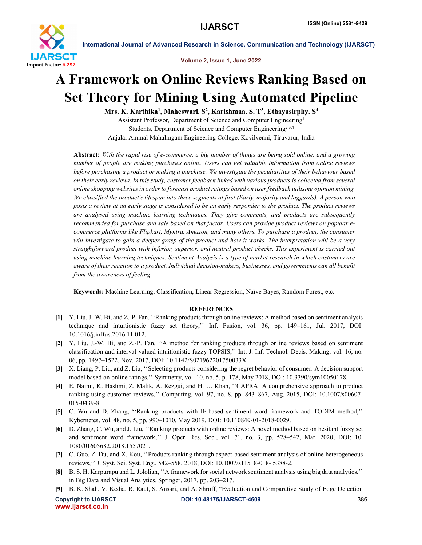

International Journal of Advanced Research in Science, Communication and Technology (IJARSCT)

Volume 2, Issue 1, June 2022

# A Framework on Online Reviews Ranking Based on Set Theory for Mining Using Automated Pipeline

Mrs. K. Karthika<sup>1</sup>, Maheswari. S<sup>2</sup>, Karishmaa. S. T<sup>3</sup>, Ethayasirphy. S<sup>4</sup>

Assistant Professor, Department of Science and Computer Engineering1 Students, Department of Science and Computer Engineering<sup>2,3,4</sup> Anjalai Ammal Mahalingam Engineering College, Kovilvenni, Tiruvarur, India

Abstract: *With the rapid rise of e-commerce, a big number of things are being sold online, and a growing number of people are making purchases online. Users can get valuable information from online reviews before purchasing a product or making a purchase. We investigate the peculiarities of their behaviour based on their early reviews. In this study, customer feedback linked with various products is collected from several online shopping websites in order to forecast product ratings based on user feedback utilising opinion mining. We classified the product's lifespan into three segments at first (Early, majority and laggards). A person who posts a review at an early stage is considered to be an early responder to the product. The product reviews are analysed using machine learning techniques. They give comments, and products are subsequently recommended for purchase and sale based on that factor. Users can provide product reviews on popular ecommerce platforms like Flipkart, Myntra, Amazon, and many others. To purchase a product, the consumer will investigate to gain a deeper grasp of the product and how it works. The interpretation will be a very straightforward product with inferior, superior, and neutral product checks. This experiment is carried out using machine learning techniques. Sentiment Analysis is a type of market research in which customers are aware of their reaction to a product. Individual decision-makers, businesses, and governments can all benefit from the awareness of feeling.*

Keywords: Machine Learning, Classification, Linear Regression, Naïve Bayes, Random Forest, etc.

## **REFERENCES**

- [1] Y. Liu, J.-W. Bi, and Z.-P. Fan, ''Ranking products through online reviews: A method based on sentiment analysis technique and intuitionistic fuzzy set theory,'' Inf. Fusion, vol. 36, pp. 149–161, Jul. 2017, DOI: 10.1016/j.inffus.2016.11.012.
- [2] Y. Liu, J.-W. Bi, and Z.-P. Fan, ''A method for ranking products through online reviews based on sentiment classification and interval-valued intuitionistic fuzzy TOPSIS,'' Int. J. Inf. Technol. Decis. Making, vol. 16, no. 06, pp. 1497–1522, Nov. 2017, DOI: 10.1142/S021962201750033X.
- [3] X. Liang, P. Liu, and Z. Liu, ''Selecting products considering the regret behavior of consumer: A decision support model based on online ratings,'' Symmetry, vol. 10, no. 5, p. 178, May 2018, DOI: 10.3390/sym10050178.
- [4] E. Najmi, K. Hashmi, Z. Malik, A. Rezgui, and H. U. Khan, ''CAPRA: A comprehensive approach to product ranking using customer reviews,'' Computing, vol. 97, no. 8, pp. 843–867, Aug. 2015, DOI: 10.1007/s00607- 015-0439-8.
- [5] C. Wu and D. Zhang, ''Ranking products with IF-based sentiment word framework and TODIM method,'' Kybernetes, vol. 48, no. 5, pp. 990–1010, May 2019, DOI: 10.1108/K-01-2018-0029.
- [6] D. Zhang, C. Wu, and J. Liu, ''Ranking products with online reviews: A novel method based on hesitant fuzzy set and sentiment word framework,'' J. Oper. Res. Soc., vol. 71, no. 3, pp. 528–542, Mar. 2020, DOI: 10. 1080/01605682.2018.1557021.
- [7] C. Guo, Z. Du, and X. Kou, ''Products ranking through aspect-based sentiment analysis of online heterogeneous reviews,'' J. Syst. Sci. Syst. Eng., 542–558, 2018, DOI: 10.1007/s11518-018- 5388-2.
- [8] B. S. H. Karpurapu and L. Jololian, ''A framework for social network sentiment analysis using big data analytics,'' in Big Data and Visual Analytics. Springer, 2017, pp. 203–217.
- [9] B. K. Shah, V. Kedia, R. Raut, S. Ansari, and A. Shroff, "Evaluation and Comparative Study of Edge Detection

www.ijarsct.co.in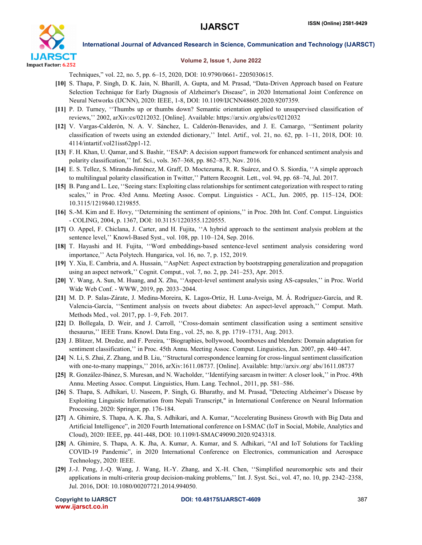

International Journal of Advanced Research in Science, Communication and Technology (IJARSCT)

### Volume 2, Issue 1, June 2022

Techniques," vol. 22, no. 5, pp. 6–15, 2020, DOI: 10.9790/0661- 2205030615.

- [10] S. Thapa, P. Singh, D. K. Jain, N. Bharill, A. Gupta, and M. Prasad, "Data-Driven Approach based on Feature Selection Technique for Early Diagnosis of Alzheimer's Disease", in 2020 International Joint Conference on Neural Networks (IJCNN), 2020: IEEE, 1-8, DOI: 10.1109/IJCNN48605.2020.9207359.
- [11] P. D. Turney, ''Thumbs up or thumbs down? Semantic orientation applied to unsupervised classification of reviews,'' 2002, arXiv:cs/0212032. [Online]. Available: https://arxiv.org/abs/cs/0212032
- [12] V. Vargas-Calderón, N. A. V. Sánchez, L. Calderón-Benavides, and J. E. Camargo, ''Sentiment polarity classification of tweets using an extended dictionary,'' Intel. Artif., vol. 21, no. 62, pp. 1–11, 2018, DOI: 10. 4114/intartif.vol21iss62pp1-12.
- [13] F. H. Khan, U. Qamar, and S. Bashir, ''ESAP: A decision support framework for enhanced sentiment analysis and polarity classification,'' Inf. Sci., vols. 367–368, pp. 862–873, Nov. 2016.
- [14] E. S. Tellez, S. Miranda-Jiménez, M. Graff, D. Moctezuma, R. R. Suárez, and O. S. Siordia, ''A simple approach to multilingual polarity classification in Twitter,'' Pattern Recognit. Lett., vol. 94, pp. 68–74, Jul. 2017.
- [15] B. Pang and L. Lee, ''Seeing stars: Exploiting class relationships for sentiment categorization with respect to rating scales,'' in Proc. 43rd Annu. Meeting Assoc. Comput. Linguistics - ACL, Jun. 2005, pp. 115–124, DOI: 10.3115/1219840.1219855.
- [16] S.-M. Kim and E. Hovy, ''Determining the sentiment of opinions,'' in Proc. 20th Int. Conf. Comput. Linguistics - COLING, 2004, p. 1367, DOI: 10.3115/1220355.1220555.
- [17] O. Appel, F. Chiclana, J. Carter, and H. Fujita, ''A hybrid approach to the sentiment analysis problem at the sentence level,'' Knowl-Based Syst., vol. 108, pp. 110–124, Sep. 2016.
- [18] T. Hayashi and H. Fujita, ''Word embeddings-based sentence-level sentiment analysis considering word importance,'' Acta Polytech. Hungarica, vol. 16, no. 7, p. 152, 2019.
- [19] Y. Xia, E. Cambria, and A. Hussain, ''AspNet: Aspect extraction by bootstrapping generalization and propagation using an aspect network,'' Cognit. Comput., vol. 7, no. 2, pp. 241–253, Apr. 2015.
- [20] Y. Wang, A. Sun, M. Huang, and X. Zhu, ''Aspect-level sentiment analysis using AS-capsules,'' in Proc. World Wide Web Conf. - WWW, 2019, pp. 2033–2044.
- [21] M. D. P. Salas-Zárate, J. Medina-Moreira, K. Lagos-Ortiz, H. Luna-Aveiga, M. Á. Rodríguez-García, and R. Valencia-García, ''Sentiment analysis on tweets about diabetes: An aspect-level approach,'' Comput. Math. Methods Med., vol. 2017, pp. 1–9, Feb. 2017.
- [22] D. Bollegala, D. Weir, and J. Carroll, ''Cross-domain sentiment classification using a sentiment sensitive thesaurus,'' IEEE Trans. Knowl. Data Eng., vol. 25, no. 8, pp. 1719–1731, Aug. 2013.
- [23] J. Blitzer, M. Dredze, and F. Pereira, ''Biographies, bollywood, boomboxes and blenders: Domain adaptation for sentiment classification,'' in Proc. 45th Annu. Meeting Assoc. Comput. Linguistics, Jun. 2007, pp. 440–447.
- [24] N. Li, S. Zhai, Z. Zhang, and B. Liu, ''Structural correspondence learning for cross-lingual sentiment classification with one-to-many mappings,'' 2016, arXiv:1611.08737. [Online]. Available: http://arxiv.org/ abs/1611.08737
- [25] R. González-Ibánez, S. Muresan, and N. Wacholder, ''Identifying sarcasm in twitter: A closer look,'' in Proc. 49th Annu. Meeting Assoc. Comput. Linguistics, Hum. Lang. Technol., 2011, pp. 581–586.
- [26] S. Thapa, S. Adhikari, U. Naseem, P. Singh, G. Bharathy, and M. Prasad, "Detecting Alzheimer's Disease by Exploiting Linguistic Information from Nepali Transcript," in International Conference on Neural Information Processing, 2020: Springer, pp. 176-184.
- [27] A. Ghimire, S. Thapa, A. K. Jha, S. Adhikari, and A. Kumar, "Accelerating Business Growth with Big Data and Artificial Intelligence", in 2020 Fourth International conference on I-SMAC (IoT in Social, Mobile, Analytics and Cloud), 2020: IEEE, pp. 441-448, DOI: 10.1109/I-SMAC49090.2020.9243318.
- [28] A. Ghimire, S. Thapa, A. K. Jha, A. Kumar, A. Kumar, and S. Adhikari, "AI and IoT Solutions for Tackling COVID-19 Pandemic", in 2020 International Conference on Electronics, communication and Aerospace Technology, 2020: IEEE.
- [29] J.-J. Peng, J.-Q. Wang, J. Wang, H.-Y. Zhang, and X.-H. Chen, ''Simplified neuromorphic sets and their applications in multi-criteria group decision-making problems,'' Int. J. Syst. Sci., vol. 47, no. 10, pp. 2342–2358, Jul. 2016, DOI: 10.1080/00207721.2014.994050.

www.ijarsct.co.in